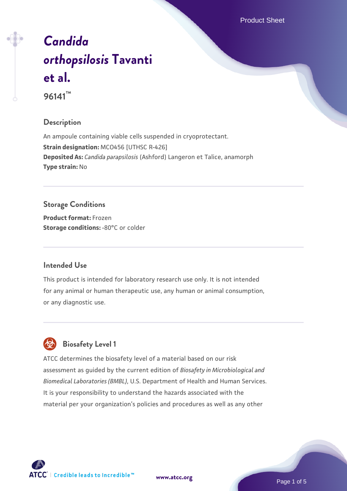Product Sheet

# *[Candida](https://www.atcc.org/products/96141) [orthopsilosis](https://www.atcc.org/products/96141)* **[Tavanti](https://www.atcc.org/products/96141) [et al.](https://www.atcc.org/products/96141) 96141™**

#### **Description**

An ampoule containing viable cells suspended in cryoprotectant. **Strain designation:** MCO456 [UTHSC R-426] **Deposited As:** *Candida parapsilosis* (Ashford) Langeron et Talice, anamorph **Type strain:** No

## **Storage Conditions**

**Product format:** Frozen **Storage conditions: -80°C** or colder

#### **Intended Use**

This product is intended for laboratory research use only. It is not intended for any animal or human therapeutic use, any human or animal consumption, or any diagnostic use.



### **Biosafety Level 1**

ATCC determines the biosafety level of a material based on our risk assessment as guided by the current edition of *Biosafety in Microbiological and Biomedical Laboratories (BMBL)*, U.S. Department of Health and Human Services. It is your responsibility to understand the hazards associated with the material per your organization's policies and procedures as well as any other



**[www.atcc.org](http://www.atcc.org)**

Page 1 of 5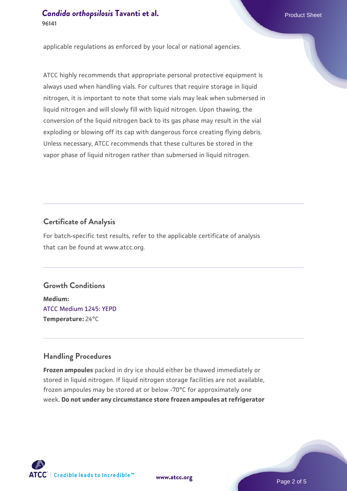applicable regulations as enforced by your local or national agencies.

ATCC highly recommends that appropriate personal protective equipment is always used when handling vials. For cultures that require storage in liquid nitrogen, it is important to note that some vials may leak when submersed in liquid nitrogen and will slowly fill with liquid nitrogen. Upon thawing, the conversion of the liquid nitrogen back to its gas phase may result in the vial exploding or blowing off its cap with dangerous force creating flying debris. Unless necessary, ATCC recommends that these cultures be stored in the vapor phase of liquid nitrogen rather than submersed in liquid nitrogen.

#### **Certificate of Analysis**

For batch-specific test results, refer to the applicable certificate of analysis that can be found at www.atcc.org.

#### **Growth Conditions**

**Medium:**  [ATCC Medium 1245: YEPD](https://www.atcc.org/-/media/product-assets/documents/microbial-media-formulations/1/2/4/5/atcc-medium-1245.pdf?rev=705ca55d1b6f490a808a965d5c072196) **Temperature:** 24°C

#### **Handling Procedures**

**Frozen ampoules** packed in dry ice should either be thawed immediately or stored in liquid nitrogen. If liquid nitrogen storage facilities are not available, frozen ampoules may be stored at or below -70°C for approximately one week. **Do not under any circumstance store frozen ampoules at refrigerator**

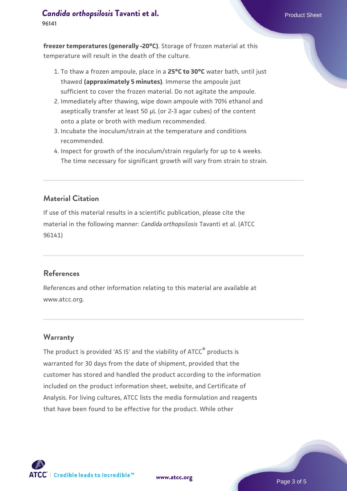#### **[Candida orthopsilosis](https://www.atcc.org/products/96141) [Tavanti et al.](https://www.atcc.org/products/96141)** Product Sheet

**96141**

**freezer temperatures (generally -20°C)**. Storage of frozen material at this temperature will result in the death of the culture.

- 1. To thaw a frozen ampoule, place in a **25°C to 30°C** water bath, until just thawed **(approximately 5 minutes)**. Immerse the ampoule just sufficient to cover the frozen material. Do not agitate the ampoule.
- 2. Immediately after thawing, wipe down ampoule with 70% ethanol and aseptically transfer at least 50 µL (or 2-3 agar cubes) of the content onto a plate or broth with medium recommended.
- 3. Incubate the inoculum/strain at the temperature and conditions recommended.
- 4. Inspect for growth of the inoculum/strain regularly for up to 4 weeks. The time necessary for significant growth will vary from strain to strain.

#### **Material Citation**

If use of this material results in a scientific publication, please cite the material in the following manner: *Candida orthopsilosis* Tavanti et al. (ATCC 96141)

#### **References**

References and other information relating to this material are available at www.atcc.org.

#### **Warranty**

The product is provided 'AS IS' and the viability of ATCC<sup>®</sup> products is warranted for 30 days from the date of shipment, provided that the customer has stored and handled the product according to the information included on the product information sheet, website, and Certificate of Analysis. For living cultures, ATCC lists the media formulation and reagents that have been found to be effective for the product. While other



**[www.atcc.org](http://www.atcc.org)**

Page 3 of 5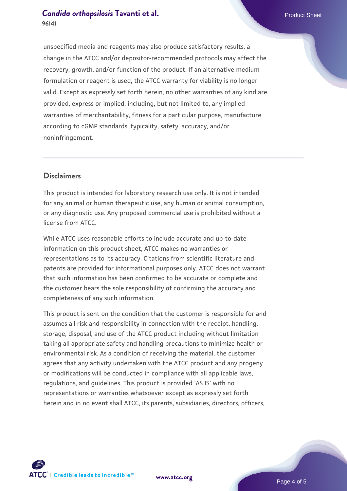#### **[Candida orthopsilosis](https://www.atcc.org/products/96141) [Tavanti et al.](https://www.atcc.org/products/96141)** Product Sheet **96141**

unspecified media and reagents may also produce satisfactory results, a change in the ATCC and/or depositor-recommended protocols may affect the recovery, growth, and/or function of the product. If an alternative medium formulation or reagent is used, the ATCC warranty for viability is no longer valid. Except as expressly set forth herein, no other warranties of any kind are provided, express or implied, including, but not limited to, any implied warranties of merchantability, fitness for a particular purpose, manufacture according to cGMP standards, typicality, safety, accuracy, and/or noninfringement.

#### **Disclaimers**

This product is intended for laboratory research use only. It is not intended for any animal or human therapeutic use, any human or animal consumption, or any diagnostic use. Any proposed commercial use is prohibited without a license from ATCC.

While ATCC uses reasonable efforts to include accurate and up-to-date information on this product sheet, ATCC makes no warranties or representations as to its accuracy. Citations from scientific literature and patents are provided for informational purposes only. ATCC does not warrant that such information has been confirmed to be accurate or complete and the customer bears the sole responsibility of confirming the accuracy and completeness of any such information.

This product is sent on the condition that the customer is responsible for and assumes all risk and responsibility in connection with the receipt, handling, storage, disposal, and use of the ATCC product including without limitation taking all appropriate safety and handling precautions to minimize health or environmental risk. As a condition of receiving the material, the customer agrees that any activity undertaken with the ATCC product and any progeny or modifications will be conducted in compliance with all applicable laws, regulations, and guidelines. This product is provided 'AS IS' with no representations or warranties whatsoever except as expressly set forth herein and in no event shall ATCC, its parents, subsidiaries, directors, officers,